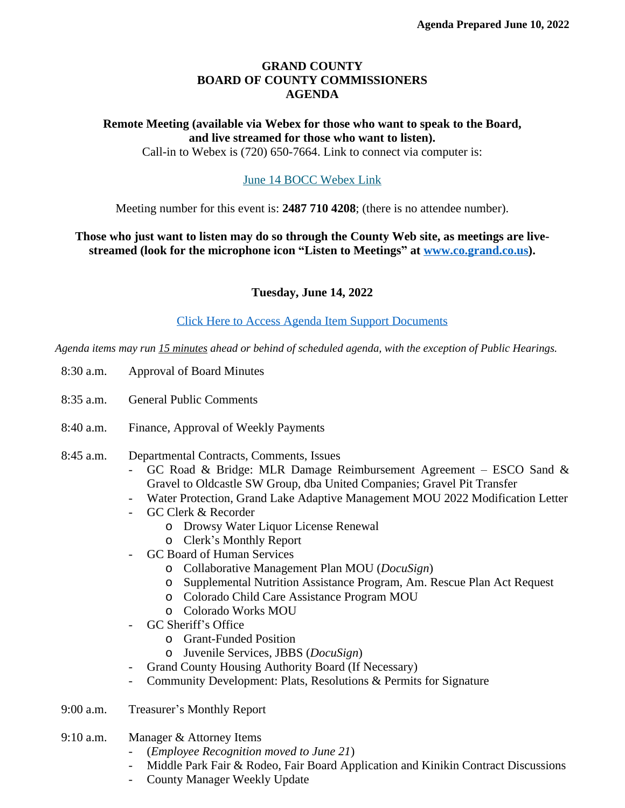## **GRAND COUNTY BOARD OF COUNTY COMMISSIONERS AGENDA**

## **Remote Meeting (available via Webex for those who want to speak to the Board, and live streamed for those who want to listen).**

Call-in to Webex is (720) 650-7664. Link to connect via computer is:

## [June 14 BOCC Webex Link](https://grandcounty.webex.com/grandcounty/j.php?MTID=m2767db99074c75a8a0e32d027c501a4d)

[Meeting number for this event is:](https://grandcounty.webex.com/grandcounty/j.php?MTID=m2767db99074c75a8a0e32d027c501a4d) **[2487 710 4208](https://grandcounty.webex.com/grandcounty/j.php?MTID=m2767db99074c75a8a0e32d027c501a4d)**[; \(there is no attendee number\).](https://grandcounty.webex.com/grandcounty/j.php?MTID=m2767db99074c75a8a0e32d027c501a4d)

**[Those who just want to listen may do so through the County Web site, as meetings are live](https://grandcounty.webex.com/grandcounty/j.php?MTID=m2767db99074c75a8a0e32d027c501a4d)[streamed \(look for the microphone icon](https://grandcounty.webex.com/grandcounty/j.php?MTID=m2767db99074c75a8a0e32d027c501a4d) "Listen to Meetings" [at](https://grandcounty.webex.com/grandcounty/j.php?MTID=m2767db99074c75a8a0e32d027c501a4d) [www.co.grand.co.us\)](http://www.co.grand.co.us).**

**Tuesday, June 14, 2022**

[Click Here to Access Agenda Item Support Documents](https://grandco.box.com/v/boccsupporteddocuments)

*[Agenda items may run 15 minutes ahead or behind of scheduled agenda, with the exception of Public Hearings.](https://grandco.box.com/v/boccsupporteddocuments)*

- [8:30 a.m.](https://grandco.box.com/v/boccsupporteddocuments) [Approval of Board Minutes](https://grandco.box.com/v/boccsupporteddocuments)
- [8:35 a.m.](https://grandco.box.com/v/boccsupporteddocuments) [General Public Comments](https://grandco.box.com/v/boccsupporteddocuments)
- [8:40 a.m.](https://grandco.box.com/v/boccsupporteddocuments) [Finance, Approval of Weekly Payments](https://grandco.box.com/v/boccsupporteddocuments)
- [8:45](https://grandco.box.com/v/boccsupporteddocuments) [a.m.](https://grandco.box.com/v/boccsupporteddocuments) [Departmental Contracts, Comments, Issues](https://grandco.box.com/v/boccsupporteddocuments)
	- GC Road & [Bridge:](https://grandco.box.com/v/boccsupporteddocuments) [M](https://grandco.box.com/v/boccsupporteddocuments)LR Damage [Reimbursement](https://grandco.box.com/v/boccsupporteddocuments) Agreement [ESCO](https://grandco.box.com/v/boccsupporteddocuments) Sand & [Gravel to Oldcastle SW Group, dba United Companies; Gravel Pit Transfer](https://grandco.box.com/v/boccsupporteddocuments)
	- [Water Protection, Grand Lake Adaptive Management MOU 2022 Modification Letter](https://grandco.box.com/v/boccsupporteddocuments)
	- [GC Clerk & Recorder](https://grandco.box.com/v/boccsupporteddocuments)
		- o [Drowsy Water Liquor License Renewal](https://grandco.box.com/v/boccsupporteddocuments)
		- o Clerk'[s Monthly Report](https://grandco.box.com/v/boccsupporteddocuments)
	- [GC Board of Human Services](https://grandco.box.com/v/boccsupporteddocuments)
		- o [Collaborative Management Plan MOU \(](https://grandco.box.com/v/boccsupporteddocuments)*[DocuSign](https://grandco.box.com/v/boccsupporteddocuments)*[\)](https://grandco.box.com/v/boccsupporteddocuments)
		- o [Supplemental Nutrition Assistance Program, Am. Rescue Plan Act Request](https://grandco.box.com/v/boccsupporteddocuments)
		- o [Colorado Child Care Assistance Program MOU](https://grandco.box.com/v/boccsupporteddocuments)
		- o [Colorado Works MOU](https://grandco.box.com/v/boccsupporteddocuments)
	- [GC S](https://grandco.box.com/v/boccsupporteddocuments)heriff'[s Office](https://grandco.box.com/v/boccsupporteddocuments)
		- o [Grant-Funded Position](https://grandco.box.com/v/boccsupporteddocuments)
		- o [Juvenile Services, JBBS \(](https://grandco.box.com/v/boccsupporteddocuments)*[DocuSign](https://grandco.box.com/v/boccsupporteddocuments)*[\)](https://grandco.box.com/v/boccsupporteddocuments)
	- [Grand County Housing Authority Board \(If Necessary\)](https://grandco.box.com/v/boccsupporteddocuments)
	- [Community Development: Plats, Resolutions & Permits for Signature](https://grandco.box.com/v/boccsupporteddocuments)
- [9:00 a.m.](https://grandco.box.com/v/boccsupporteddocuments) [T](https://grandco.box.com/v/boccsupporteddocuments)reasurer'[s Monthly Report](https://grandco.box.com/v/boccsupporteddocuments)
- [9:10 a.m.](https://grandco.box.com/v/boccsupporteddocuments) [Manager & Attorney Items](https://grandco.box.com/v/boccsupporteddocuments)
	- [\(](https://grandco.box.com/v/boccsupporteddocuments)*[Employee Recognition moved to June 21](https://grandco.box.com/v/boccsupporteddocuments)*[\)](https://grandco.box.com/v/boccsupporteddocuments)
	- [Middle Park Fair & Rodeo, Fair Board Application and Kinikin Contract Discussions](https://grandco.box.com/v/boccsupporteddocuments)
	- [County Manager Weekly Update](https://grandco.box.com/v/boccsupporteddocuments)